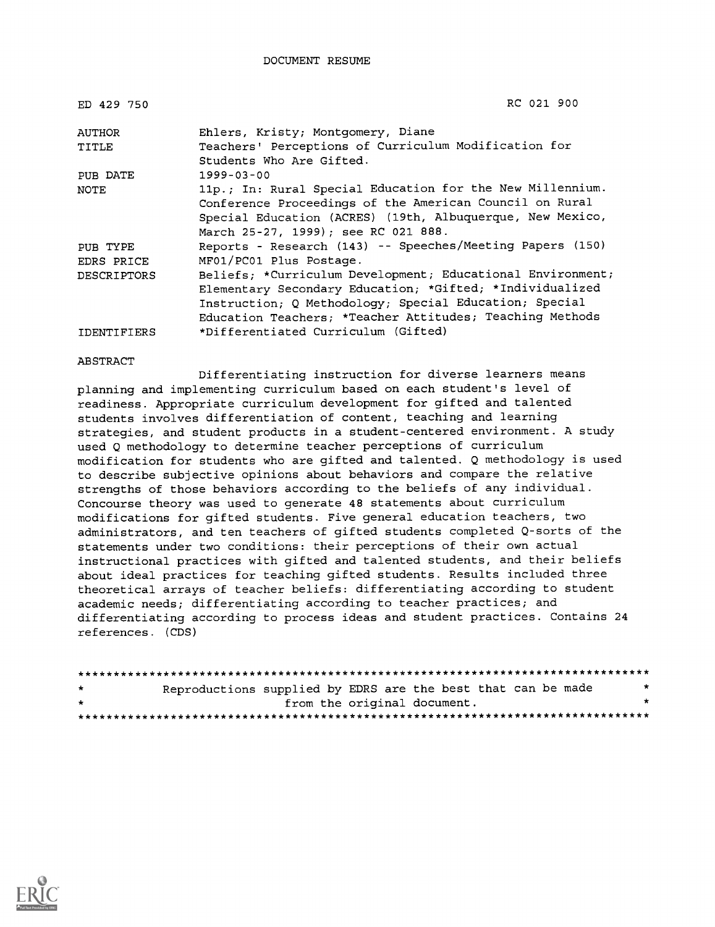DOCUMENT RESUME

| ED 429 750         | RC 021 900                                                 |
|--------------------|------------------------------------------------------------|
| AUTHOR             | Ehlers, Kristy; Montgomery, Diane                          |
| TITLE              | Teachers' Perceptions of Curriculum Modification for       |
|                    | Students Who Are Gifted.                                   |
| PUB DATE           | $1999 - 03 - 00$                                           |
| <b>NOTE</b>        | 11p.; In: Rural Special Education for the New Millennium.  |
|                    | Conference Proceedings of the American Council on Rural    |
|                    | Special Education (ACRES) (19th, Albuquerque, New Mexico,  |
|                    | March 25-27, 1999); see RC 021 888.                        |
| PUB TYPE           | Reports - Research (143) -- Speeches/Meeting Papers (150)  |
| EDRS PRICE         | MF01/PC01 Plus Postage.                                    |
| DESCRIPTORS        | Beliefs; *Curriculum Development; Educational Environment; |
|                    | Elementary Secondary Education; *Gifted; *Individualized   |
|                    | Instruction; Q Methodology; Special Education; Special     |
|                    | Education Teachers; *Teacher Attitudes; Teaching Methods   |
| <b>IDENTIFIERS</b> | *Differentiated Curriculum (Gifted)                        |

#### **ABSTRACT**

Differentiating instruction for diverse learners means planning and implementing curriculum based on each student's level of readiness. Appropriate curriculum development for gifted and talented students involves differentiation of content, teaching and learning strategies, and student products in a student-centered environment. A study used Q methodology to determine teacher perceptions of curriculum modification for students who are gifted and talented. Q methodology is used to describe subjective opinions about behaviors and compare the relative strengths of those behaviors according to the beliefs of any individual. Concourse theory was used to generate 48 statements about curriculum modifications for gifted students. Five general education teachers, two administrators, and ten teachers of gifted students completed Q-sorts of the statements under two conditions: their perceptions of their own actual instructional practices with gifted and talented students, and their beliefs about ideal practices for teaching gifted students. Results included three theoretical arrays of teacher beliefs: differentiating according to student academic needs; differentiating according to teacher practices; and differentiating according to process ideas and student practices. Contains 24 references. (CDS)

| $\star$ |  | Reproductions supplied by EDRS are the best that can be made | $\star$ |
|---------|--|--------------------------------------------------------------|---------|
| $\star$ |  | from the original document.                                  | $\star$ |
|         |  |                                                              |         |

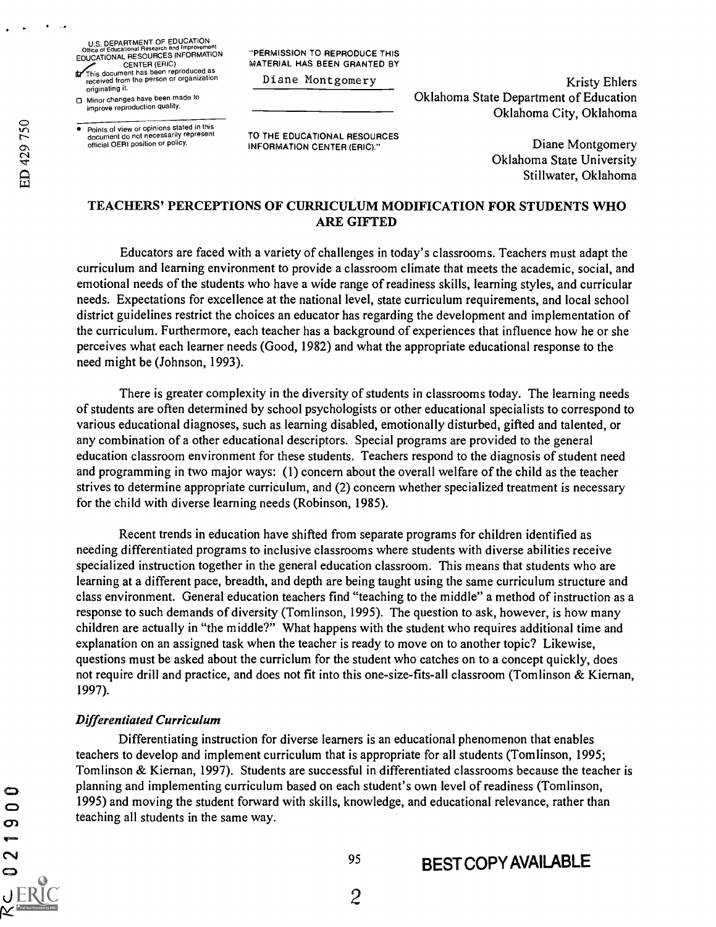U.S. DEPARTMENT OF EDUCATION<br>Office of Educational Research and Improveme Office of Educational Research and Improvement<br>EDUCATIONAL RESOURCES INFORMATION

CENTER (ERIC)<br>This document has been reproduced as received from the person or organization originating it.

0 Minor changes have been made to improve reproduction quality.

Points of view or opinions stated in this document do not necessarily represent official OERI position or policy.

"PERMISSION TO REPRODUCE THIS MATERIAL HAS BEEN GRANTED BY

Diane Montgomery

Kristy Ehlers Oklahoma State Department of Education Oklahoma City, Oklahoma

TO THE EDUCATIONAL RESOURCES INFORMATION CENTER (ERIC)."

Diane Montgomery Oklahoma State University Stillwater, Oklahoma

# TEACHERS' PERCEPTIONS OF CURRICULUM MODIFICATION FOR STUDENTS WHO ARE GIFTED

Educators are faced with a variety of challenges in today's classrooms. Teachers must adapt the curriculum and learning environment to provide a classroom climate that meets the academic, social, and emotional needs of the students who have a wide range of readiness skills, learning styles, and curricular needs. Expectations for excellence at the national level, state curriculum requirements, and local school district guidelines restrict the choices an educator has regarding the development and implementation of the curriculum. Furthermore, each teacher has a background of experiences that influence how he or she perceives what each learner needs (Good, 1982) and what the appropriate educational response to the need might be (Johnson, 1993).

There is greater complexity in the diversity of students in classrooms today. The learning needs of students are often determined by school psychologists or other educational specialists to correspond to various educational diagnoses, such as learning disabled, emotionally disturbed, gifted and talented, or any combination of a other educational descriptors. Special programs are provided to the general education classroom environment for these students. Teachers respond to the diagnosis of student need and programming in two major ways: (1) concern about the overall welfare of the child as the teacher strives to determine appropriate curriculum, and (2) concern whether specialized treatment is necessary for the child with diverse learning needs (Robinson, 1985).

Recent trends in education have shifted from separate programs for children identified as needing differentiated programs to inclusive classrooms where students with diverse abilities receive specialized instruction together in the general education classroom. This means that students who are learning at a different pace, breadth, and depth are being taught using the same curriculum structure and class environment. General education teachers find "teaching to the middle" a method of instruction as a response to such demands of diversity (Tomlinson, 1995). The question to ask, however, is how many children are actually in "the middle?" What happens with the student who requires additional time and explanation on an assigned task when the teacher is ready to move on to another topic? Likewise, questions must be asked about the curriclum for the student who catches on to a concept quickly, does not require drill and practice, and does not fit into this one-size-fits-all classroom (Tomlinson & Kiernan, 1997).

# Differentiated Curriculum

Differentiating instruction for diverse learners is an educational phenomenon that enables teachers to develop and implement curriculum that is appropriate for all students (Tomlinson, 1995; Tomlinson & Kiernan, 1997). Students are successful in differentiated classrooms because the teacher is planning and implementing curriculum based on each student's own level of readiness (Tomlinson, 1995) and moving the student forward with skills, knowledge, and educational relevance, rather than teaching all students in the same way.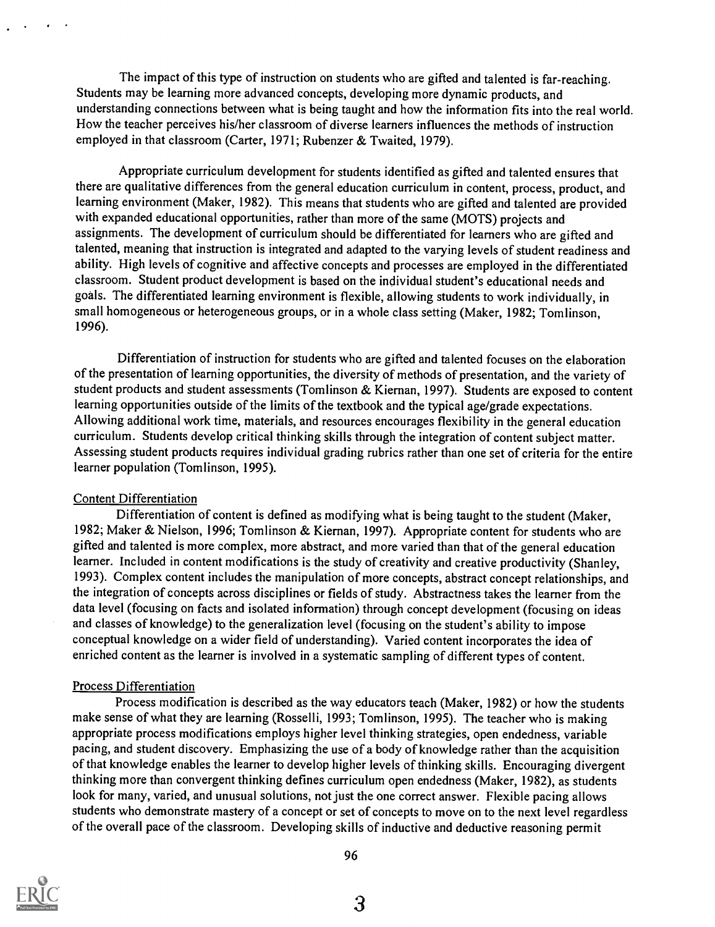The impact of this type of instruction on students who are gifted and talented is far-reaching. Students may be learning more advanced concepts, developing more dynamic products, and understanding connections between what is being taught and how the information fits into the real world. How the teacher perceives his/her classroom of diverse learners influences the methods of instruction employed in that classroom (Carter, 1971; Rubenzer & Twaited, 1979).

Appropriate curriculum development for students identified as gifted and talented ensures that there are qualitative differences from the general education curriculum in content, process, product, and learning environment (Maker, 1982). This means that students who are gifted and talented are provided with expanded educational opportunities, rather than more of the same (MOTS) projects and assignments. The development of curriculum should be differentiated for learners who are gifted and talented, meaning that instruction is integrated and adapted to the varying levels of student readiness and ability. High levels of cognitive and affective concepts and processes are employed in the differentiated classroom. Student product development is based on the individual student's educational needs and goals. The differentiated learning environment is flexible, allowing students to work individually, in small homogeneous or heterogeneous groups, or in a whole class setting (Maker, 1982; Tomlinson, 1996).

Differentiation of instruction for students who are gifted and talented focuses on the elaboration of the presentation of learning opportunities, the diversity of methods of presentation, and the variety of student products and student assessments (Tomlinson & Kiernan, 1997). Students are exposed to content learning opportunities outside of the limits of the textbook and the typical age/grade expectations. Allowing additional work time, materials, and resources encourages flexibility in the general education curriculum. Students develop critical thinking skills through the integration of content subject matter. Assessing student products requires individual grading rubrics rather than one set of criteria for the entire learner population (Tomlinson, 1995).

#### Content Differentiation

Differentiation of content is defined as modifying what is being taught to the student (Maker, 1982; Maker & Nielson, 1996; Tomlinson & Kiernan, 1997). Appropriate content for students who are gifted and talented is more complex, more abstract, and more varied than that of the general education learner. Included in content modifications is the study of creativity and creative productivity (Shanley, 1993). Complex content includes the manipulation of more concepts, abstract concept relationships, and the integration of concepts across disciplines or fields of study. Abstractness takes the learner from the data level (focusing on facts and isolated information) through concept development (focusing on ideas and classes of knowledge) to the generalization level (focusing on the student's ability to impose conceptual knowledge on a wider field of understanding). Varied content incorporates the idea of enriched content as the learner is involved in a systematic sampling of different types of content.

#### Process Differentiation

Process modification is described as the way educators teach (Maker, 1982) or how the students make sense of what they are learning (Rosselli, 1993; Tomlinson, 1995). The teacher who is making appropriate process modifications employs higher level thinking strategies, open endedness, variable pacing, and student discovery. Emphasizing the use of a body of knowledge rather than the acquisition of that knowledge enables the learner to develop higher levels of thinking skills. Encouraging divergent thinking more than convergent thinking defines curriculum open endedness (Maker, 1982), as students look for many, varied, and unusual solutions, not just the one correct answer. Flexible pacing allows students who demonstrate mastery of a concept or set of concepts to move on to the next level regardless of the overall pace of the classroom. Developing skills of inductive and deductive reasoning permit

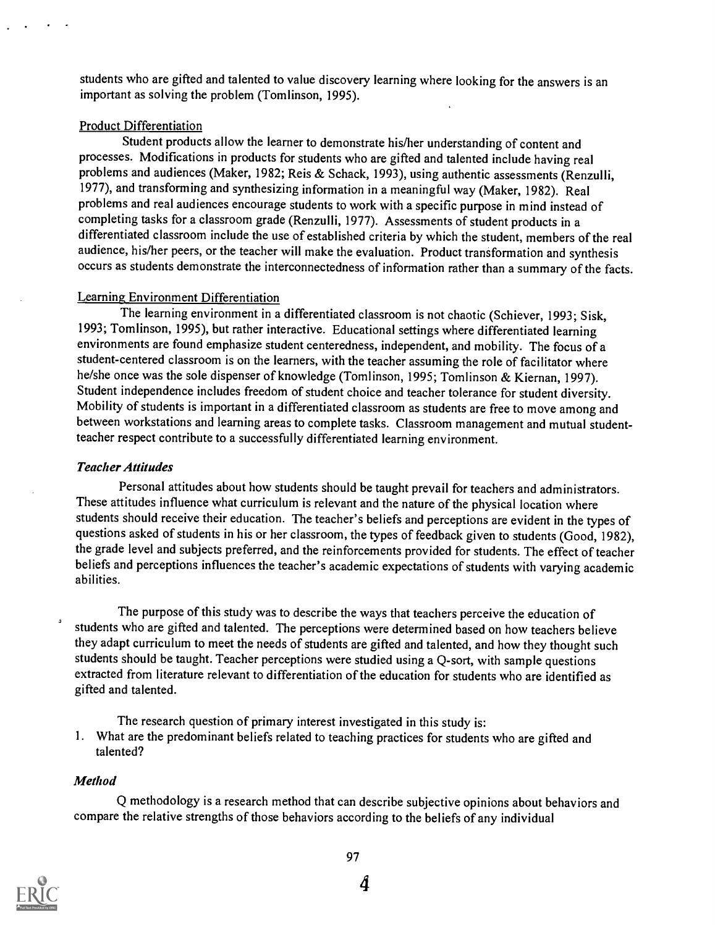students who are gifted and talented to value discovery learning where looking for the answers is an important as solving the problem (Tomlinson, 1995).

## Product Differentiation

Student products allow the learner to demonstrate his/her understanding of content and processes. Modifications in products for students who are gifted and talented include having real problems and audiences (Maker, 1982; Reis & Schack, 1993), using authentic assessments (Renzulli, 1977), and transforming and synthesizing information in a meaningful way (Maker, 1982). Real problems and real audiences encourage students to work with a specific purpose in mind instead of completing tasks for a classroom grade (Renzulli, 1977). Assessments of student products in a differentiated classroom include the use of established criteria by which the student, members of the real audience, his/her peers, or the teacher will make the evaluation. Product transformation and synthesis occurs as students demonstrate the interconnectedness of information rather than a summary of the facts.

### Learning Environment Differentiation

The learning environment in a differentiated classroom is not chaotic (Schiever, 1993; Sisk, 1993; Tomlinson, 1995), but rather interactive. Educational settings where differentiated learning environments are found emphasize student centeredness, independent, and mobility. The focus of a student-centered classroom is on the learners, with the teacher assuming the role of facilitator where he/she once was the sole dispenser of knowledge (Tomlinson, 1995; Tomlinson & Kiernan, 1997). Student independence includes freedom of student choice and teacher tolerance for student diversity. Mobility of students is important in a differentiated classroom as students are free to move among and between workstations and learning areas to complete tasks. Classroom management and mutual studentteacher respect contribute to a successfully differentiated learning environment.

# Teacher Attitudes

Personal attitudes about how students should be taught prevail for teachers and administrators. These attitudes influence what curriculum is relevant and the nature of the physical location where students should receive their education. The teacher's beliefs and perceptions are evident in the types of questions asked of students in his or her classroom, the types of feedback given to students (Good, 1982), the grade level and subjects preferred, and the reinforcements provided for students. The effect of teacher beliefs and perceptions influences the teacher's academic expectations of students with varying academic abilities.

The purpose of this study was to describe the ways that teachers perceive the education of students who are gifted and talented. The perceptions were determined based on how teachers believe they adapt curriculum to meet the needs of students are gifted and talented, and how they thought such students should be taught. Teacher perceptions were studied using a Q-sort, with sample questions extracted from literature relevant to differentiation of the education for students who are identified as gifted and talented.

The research question of primary interest investigated in this study is:

1. What are the predominant beliefs related to teaching practices for students who are gifted and talented?

# Method

Q methodology is a research method that can describe subjective opinions about behaviors and compare the relative strengths of those behaviors according to the beliefs of any individual

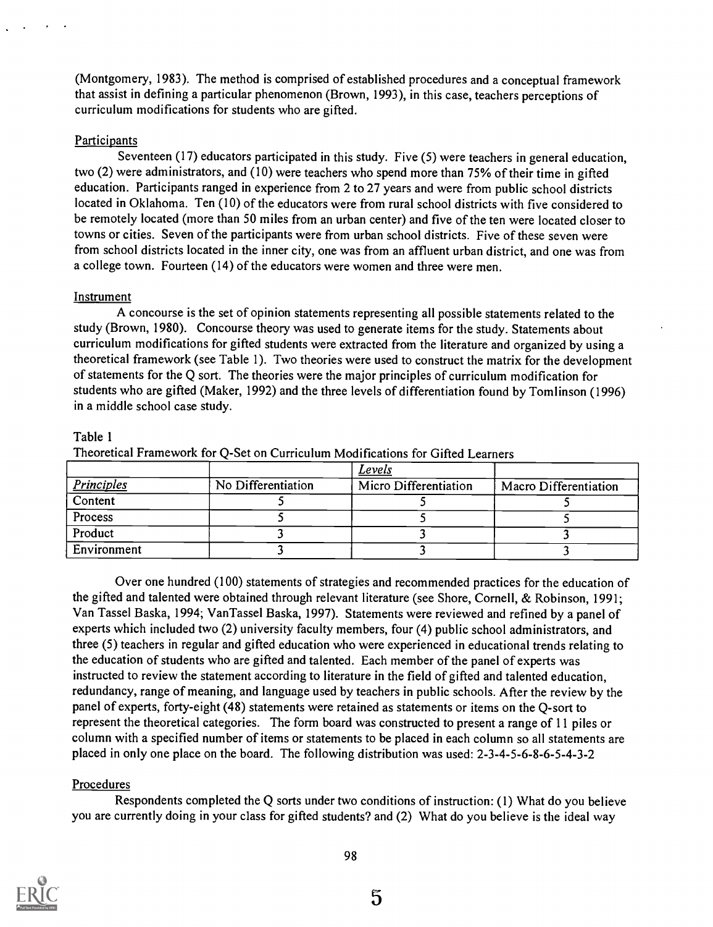(Montgomery, 1983). The method is comprised of established procedures and a conceptual framework that assist in defining a particular phenomenon (Brown, 1993), in this case, teachers perceptions of curriculum modifications for students who are gifted.

# **Participants**

Seventeen (17) educators participated in this study. Five (5) were teachers in general education, two (2) were administrators, and (10) were teachers who spend more than 75% of their time in gifted education. Participants ranged in experience from 2 to 27 years and were from public school districts located in Oklahoma. Ten (10) of the educators were from rural school districts with five considered to be remotely located (more than 50 miles from an urban center) and five of the ten were located closer to towns or cities. Seven of the participants were from urban school districts. Five of these seven were from school districts located in the inner city, one was from an affluent urban district, and one was from a college town. Fourteen (14) of the educators were women and three were men.

# Instrument

A concourse is the set of opinion statements representing all possible statements related to the study (Brown, 1980). Concourse theory was used to generate items for the study. Statements about curriculum modifications for gifted students were extracted from the literature and organized by using a theoretical framework (see Table 1). Two theories were used to construct the matrix for the development of statements for the Q sort. The theories were the major principles of curriculum modification for students who are gifted (Maker, 1992) and the three levels of differentiation found by Tomlinson (1996) in a middle school case study.

# Table 1

Theoretical Framework for Q-Set on Curriculum Modifications for Gifted Learners

|                             |                    | Levels                |                       |
|-----------------------------|--------------------|-----------------------|-----------------------|
| <b>Principles</b>           | No Differentiation | Micro Differentiation | Macro Differentiation |
| $\overline{\text{Content}}$ |                    |                       |                       |
| Process                     |                    |                       |                       |
| Product                     |                    |                       |                       |
| Environment                 |                    |                       |                       |

Over one hundred (100) statements of strategies and recommended practices for the education of the gifted and talented were obtained through relevant literature (see Shore, Cornell, & Robinson, 1991; Van Tassel Baska, 1994; VanTassel Baska, 1997). Statements were reviewed and refined by a panel of experts which included two (2) university faculty members, four (4) public school administrators, and three (5) teachers in regular and gifted education who were experienced in educational trends relating to the education of students who are gifted and talented. Each member of the panel of experts was instructed to review the statement according to literature in the field of gifted and talented education, redundancy, range of meaning, and language used by teachers in public schools. After the review by the panel of experts, forty-eight (48) statements were retained as statements or items on the Q-sort to represent the theoretical categories. The form board was constructed to present a range of 11 piles or column with a specified number of items or statements to be placed in each column so all statements are placed in only one place on the board. The following distribution was used: 2-3-4-5-6-8-6-5-4-3-2

# Procedures

Respondents completed the Q sorts under two conditions of instruction: (1) What do you believe you are currently doing in your class for gifted students? and (2) What do you believe is the ideal way

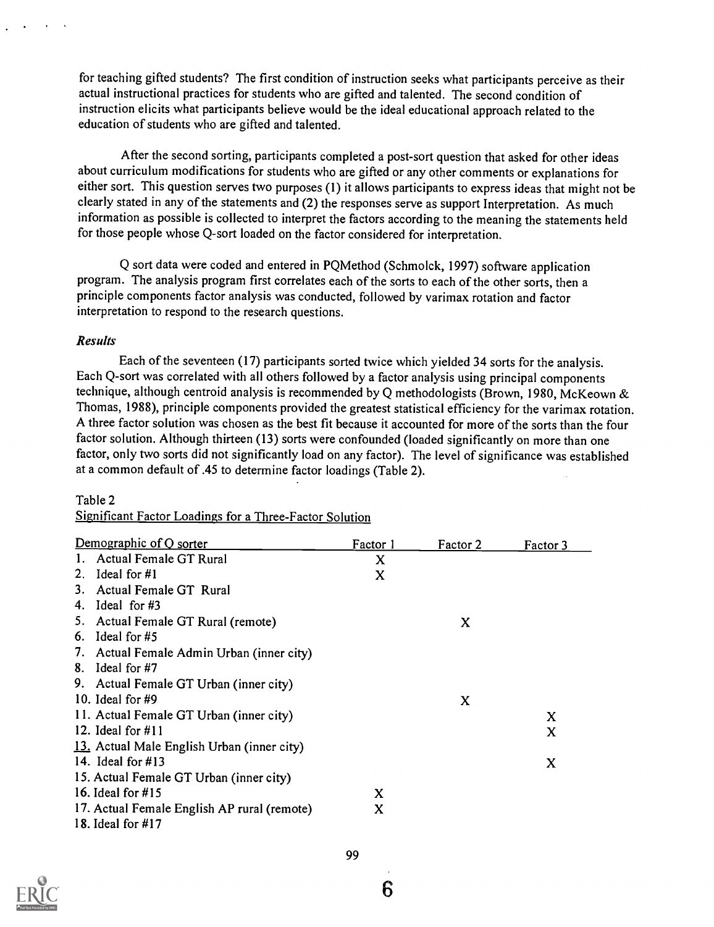for teaching gifted students? The first condition of instruction seeks what participants perceive as their actual instructional practices for students who are gifted and talented. The second condition of instruction elicits what participants believe would be the ideal educational approach related to the education of students who are gifted and talented.

After the second sorting, participants completed a post-sort question that asked for other ideas about curriculum modifications for students who are gifted or any other comments or explanations for either sort. This question serves two purposes (1) it allows participants to express ideas that might not be clearly stated in any of the statements and (2) the responses serve as support Interpretation. As much information as possible is collected to interpret the factors according to the meaning the statements held for those people whose Q-sort loaded on the factor considered for interpretation.

Q sort data were coded and entered in PQMethod (Schmolck, 1997) software application program. The analysis program first correlates each of the sorts to each of the other sorts, then a principle components factor analysis was conducted, followed by varimax rotation and factor interpretation to respond to the research questions.

### Results

Each of the seventeen (17) participants sorted twice which yielded 34 sorts for the analysis. Each Q-sort was correlated with all others followed by a factor analysis using principal components technique, although centroid analysis is recommended by Q methodologists (Brown, 1980, McKeown & Thomas, 1988), principle components provided the greatest statistical efficiency for the varimax rotation. A three factor solution was chosen as the best fit because it accounted for more of the sorts than the four factor solution. Although thirteen (13) sorts were confounded (loaded significantly on more than one factor, only two sorts did not significantly load on any factor). The level of significance was established at a common default of .45 to determine factor loadings (Table 2).

#### Table 2

| Demographic of Q sorter                     | Factor 1 | Factor 2 | Factor 3 |
|---------------------------------------------|----------|----------|----------|
| 1. Actual Female GT Rural                   | X        |          |          |
| 2. Ideal for $#1$                           | X        |          |          |
| 3. Actual Female GT Rural                   |          |          |          |
| 4. Ideal for $#3$                           |          |          |          |
| 5. Actual Female GT Rural (remote)          |          | X        |          |
| 6. Ideal for $#5$                           |          |          |          |
| 7. Actual Female Admin Urban (inner city)   |          |          |          |
| 8. Ideal for $#7$                           |          |          |          |
| 9. Actual Female GT Urban (inner city)      |          |          |          |
| 10. Ideal for $#9$                          |          | X        |          |
| 11. Actual Female GT Urban (inner city)     |          |          | X        |
| 12. Ideal for $\#11$                        |          |          | $\bf{X}$ |
| 13. Actual Male English Urban (inner city)  |          |          |          |
| 14. Ideal for $\#13$                        |          |          | X        |
| 15. Actual Female GT Urban (inner city)     |          |          |          |
| 16. Ideal for #15                           | X        |          |          |
| 17. Actual Female English AP rural (remote) | X        |          |          |
| 18. Ideal for #17                           |          |          |          |

Significant Factor Loadings for a Three-Factor Solution

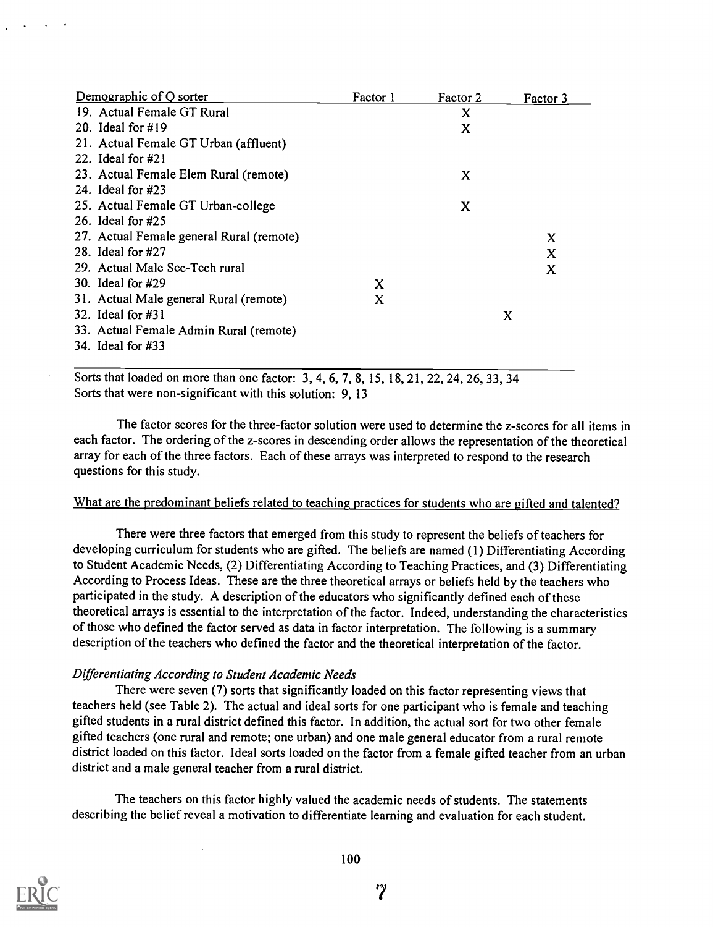| Demographic of Q sorter                  | Factor 1 | Factor 2 | Factor 3 |
|------------------------------------------|----------|----------|----------|
| 19. Actual Female GT Rural               |          | x        |          |
| 20. Ideal for $\#19$                     |          | X        |          |
| 21. Actual Female GT Urban (affluent)    |          |          |          |
| 22. Ideal for $#21$                      |          |          |          |
| 23. Actual Female Elem Rural (remote)    |          | X        |          |
| 24. Ideal for $\#23$                     |          |          |          |
| 25. Actual Female GT Urban-college       |          | X        |          |
| 26. Ideal for $\#25$                     |          |          |          |
| 27. Actual Female general Rural (remote) |          |          | X        |
| 28. Ideal for #27                        |          |          | x        |
| 29. Actual Male Sec-Tech rural           |          |          | x        |
| 30. Ideal for $\#29$                     | X        |          |          |
| 31. Actual Male general Rural (remote)   | x        |          |          |
| 32. Ideal for $\#31$                     |          |          | X        |
| 33. Actual Female Admin Rural (remote)   |          |          |          |
| 34. Ideal for #33                        |          |          |          |
|                                          |          |          |          |

Sorts that loaded on more than one factor: 3, 4, 6, 7, 8, 15, 18, 21, 22, 24, 26, 33, 34 Sorts that were non-significant with this solution: 9, 13

The factor scores for the three-factor solution were used to determine the z-scores for all items in each factor. The ordering of the z-scores in descending order allows the representation of the theoretical array for each of the three factors. Each of these arrays was interpreted to respond to the research questions for this study.

### What are the predominant beliefs related to teaching practices for students who are gifted and talented?

There were three factors that emerged from this study to represent the beliefs of teachers for developing curriculum for students who are gifted. The beliefs are named (1) Differentiating According to Student Academic Needs, (2) Differentiating According to Teaching Practices, and (3) Differentiating According to Process Ideas. These are the three theoretical arrays or beliefs held by the teachers who participated in the study. A description of the educators who significantly defined each of these theoretical arrays is essential to the interpretation of the factor. Indeed, understanding the characteristics of those who defined the factor served as data in factor interpretation. The following is a summary description of the teachers who defined the factor and the theoretical interpretation of the factor.

# Differentiating According to Student Academic Needs

There were seven (7) sorts that significantly loaded on this factor representing views that teachers held (see Table 2). The actual and ideal sorts for one participant who is female and teaching gifted students in a rural district defined this factor. In addition, the actual sort for two other female gifted teachers (one rural and remote; one urban) and one male general educator from a rural remote district loaded on this factor. Ideal sorts loaded on the factor from a female gifted teacher from an urban district and a male general teacher from a rural district.

The teachers on this factor highly valued the academic needs of students. The statements describing the belief reveal a motivation to differentiate learning and evaluation for each student.

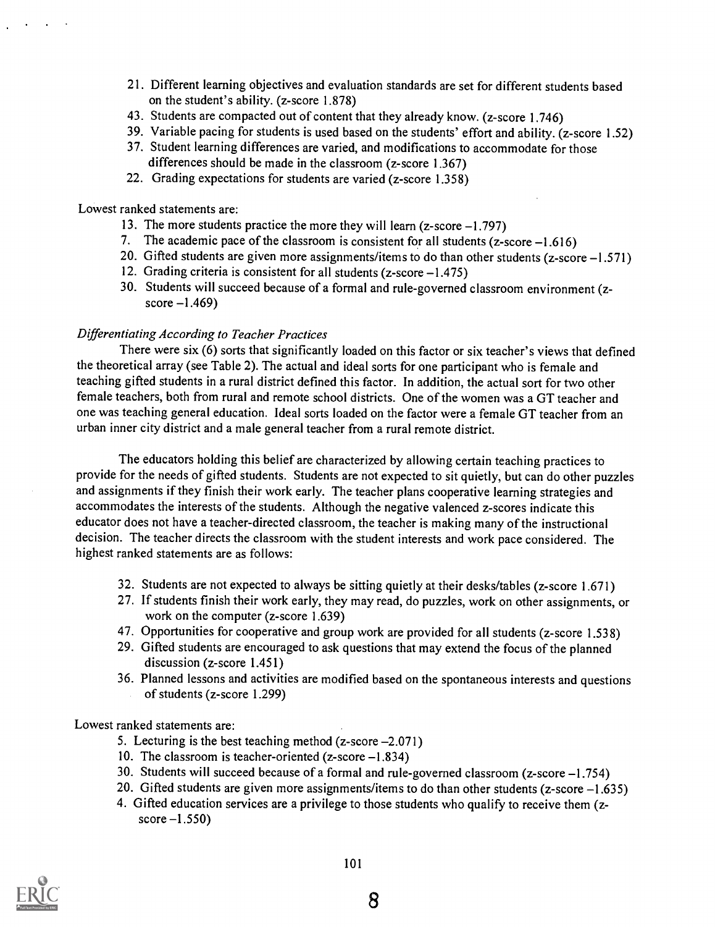- 21. Different learning objectives and evaluation standards are set for different students based on the student's ability. (z-score 1.878)
- 43. Students are compacted out of content that they already know. (z-score 1.746)
- 39. Variable pacing for students is used based on the students' effort and ability. (z-score 1.52)
- 37. Student learning differences are varied, and modifications to accommodate for those differences should be made in the classroom (z-score 1.367)
- 22. Grading expectations for students are varied (z-score 1.358)

Lowest ranked statements are:

- 13. The more students practice the more they will learn (z-score -1.797)
- 7. The academic pace of the classroom is consistent for all students  $(z\text{-score}-1.616)$
- 20. Gifted students are given more assignments/items to do than other students (z-score -1.571)
- 12. Grading criteria is consistent for all students (z-score -1.475)
- 30. Students will succeed because of a formal and rule-governed classroom environment (zscore  $-1.469$ )

### Differentiating According to Teacher Practices

There were six (6) sorts that significantly loaded on this factor or six teacher's views that defined the theoretical array (see Table 2). The actual and ideal sorts for one participant who is female and teaching gifted students in a rural district defined this factor. In addition, the actual sort for two other female teachers, both from rural and remote school districts. One of the women was a GT teacher and one was teaching general education. Ideal sorts loaded on the factor were a female GT teacher from an urban inner city district and a male general teacher from a rural remote district.

The educators holding this belief are characterized by allowing certain teaching practices to provide for the needs of gifted students. Students are not expected to sit quietly, but can do other puzzles and assignments if they finish their work early. The teacher plans cooperative learning strategies and accommodates the interests of the students. Although the negative valenced z-scores indicate this educator does not have a teacher-directed classroom, the teacher is making many of the instructional decision. The teacher directs the classroom with the student interests and work pace considered. The highest ranked statements are as follows:

- 32. Students are not expected to always be sitting quietly at their desks/tables (z-score 1.671)
- 27. If students finish their work early, they may read, do puzzles, work on other assignments, or work on the computer (z-score 1.639)
- 47. Opportunities for cooperative and group work are provided for all students (z-score 1.538)
- 29. Gifted students are encouraged to ask questions that may extend the focus of the planned discussion (z-score 1.451)
- 36. Planned lessons and activities are modified based on the spontaneous interests and questions of students (z-score 1.299)

Lowest ranked statements are:

- 5. Lecturing is the best teaching method (z-score -2.071)
- 10. The classroom is teacher-oriented (z-score -1.834)
- 30. Students will succeed because of a formal and rule-governed classroom (z-score -1.754)
- 20. Gifted students are given more assignments/items to do than other students ( $z$ -score  $-1.635$ )
- 4. Gifted education services are a privilege to those students who qualify to receive them (z $score-1.550$

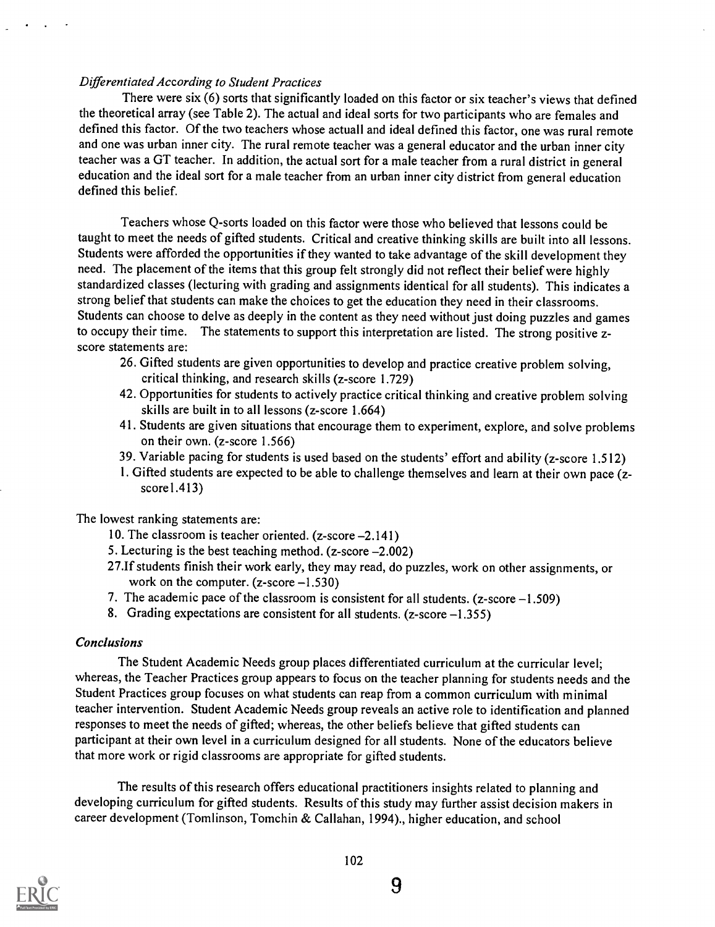# Differentiated According to Student Practices

There were six (6) sorts that significantly loaded on this factor or six teacher's views that defined the theoretical array (see Table 2). The actual and ideal sorts for two participants who are females and defined this factor. Of the two teachers whose actuall and ideal defined this factor, one was rural remote and one was urban inner city. The rural remote teacher was a general educator and the urban inner city teacher was a GT teacher. In addition, the actual sort for a male teacher from a rural district in general education and the ideal sort for a male teacher from an urban inner city district from general education defined this belief.

Teachers whose Q-sorts loaded on this factor were those who believed that lessons could be taught to meet the needs of gifted students. Critical and creative thinking skills are built into all lessons. Students were afforded the opportunities if they wanted to take advantage of the skill development they need. The placement of the items that this group felt strongly did not reflect their belief were highly standardized classes (lecturing with grading and assignments identical for all students). This indicates a strong belief that students can make the choices to get the education they need in their classrooms. Students can choose to delve as deeply in the content as they need without just doing puzzles and games to occupy their time. The statements to support this interpretation are listed. The strong positive zscore statements are:

- 26. Gifted students are given opportunities to develop and practice creative problem solving, critical thinking, and research skills (z-score 1.729)
- 42. Opportunities for students to actively practice critical thinking and creative problem solving skills are built in to all lessons (z-score 1.664)
- 41. Students are given situations that encourage them to experiment, explore, and solve problems on their own. (z-score 1.566)
- 39. Variable pacing for students is used based on the students' effort and ability (z-score 1.512)
- 1. Gifted students are expected to be able to challenge themselves and learn at their own pace (z $score1.413$

The lowest ranking statements are:

- 10. The classroom is teacher oriented. (z-score -2.141)
- 5. Lecturing is the best teaching method.  $(z\text{-score} 2.002)$
- 27.If students finish their work early, they may read, do puzzles, work on other assignments, or work on the computer.  $(z\text{-score}-1.530)$
- 7. The academic pace of the classroom is consistent for all students.  $(z\text{-score}-1.509)$
- 8. Grading expectations are consistent for all students. ( $z$ -score  $-1.355$ )

#### Conclusions

The Student Academic Needs group places differentiated curriculum at the curricular level; whereas, the Teacher Practices group appears to focus on the teacher planning for students needs and the Student Practices group focuses on what students can reap from a common curriculum with minimal teacher intervention. Student Academic Needs group reveals an active role to identification and planned responses to meet the needs of gifted; whereas, the other beliefs believe that gifted students can participant at their own level in a curriculum designed for all students. None of the educators believe that more work or rigid classrooms are appropriate for gifted students.

The results of this research offers educational practitioners insights related to planning and developing curriculum for gifted students. Results of this study may further assist decision makers in career development (Tomlinson, Tomchin & Callahan, 1994)., higher education, and school

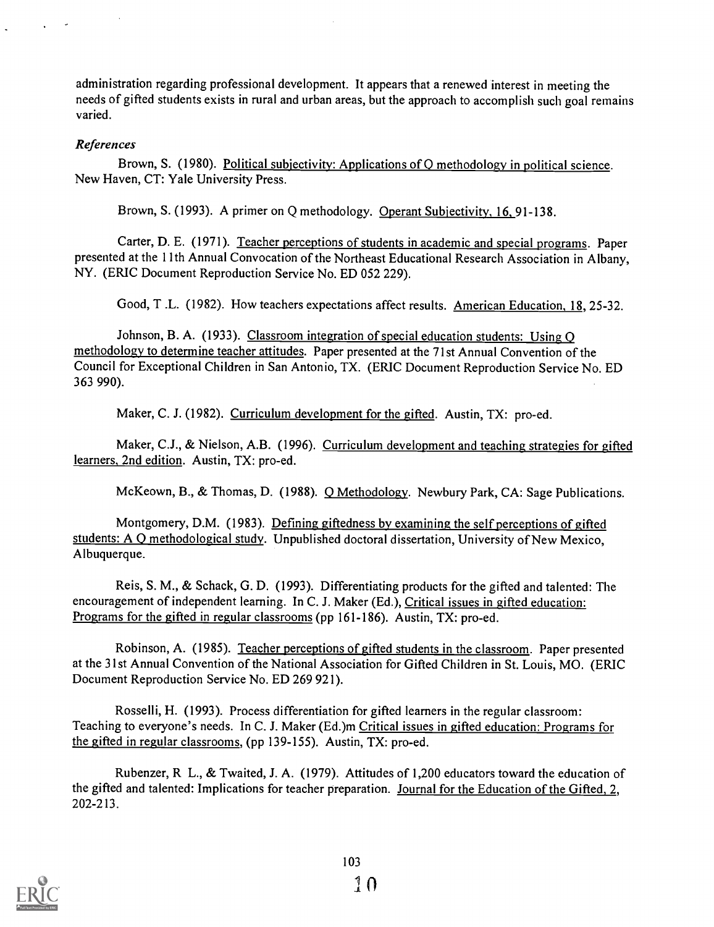administration regarding professional development. It appears that a renewed interest in meeting the needs of gifted students exists in rural and urban areas, but the approach to accomplish such goal remains varied.

# References

Brown, S. (1980). Political subjectivity: Applications of Q methodology in political science. New Haven, CT: Yale University Press.

Brown, S. (1993). A primer on Q methodology. Operant Subjectivity, 16, 91-138.

Carter, D. E. (1971). Teacher perceptions of students in academic and special programs. Paper presented at the 1 lth Annual Convocation of the Northeast Educational Research Association in Albany, NY. (ERIC Document Reproduction Service No. ED 052 229).

Good, T .L. (1982). How teachers expectations affect results. American Education, 18, 25-32.

Johnson, B. A. (1933). Classroom integration of special education students: Using O methodology to determine teacher attitudes. Paper presented at the 71st Annual Convention of the Council for Exceptional Children in San Antonio, TX. (ERIC Document Reproduction Service No. ED 363 990).

Maker, C. J. (1982). Curriculum development for the gifted. Austin, TX: pro-ed.

Maker, C.J., & Nielson, A.B. (1996). Curriculum development and teaching strategies for gifted learners, 2nd edition. Austin, TX: pro-ed.

McKeown, B., & Thomas, D. (1988). Q Methodology. Newbury Park, CA: Sage Publications.

Montgomery, D.M. (1983). Defining giftedness by examining the self perceptions of gifted students: A 0 methodological study. Unpublished doctoral dissertation, University of New Mexico, Albuquerque.

Reis, S. M., & Schack, G. D. (1993). Differentiating products for the gifted and talented: The encouragement of independent learning. In C. J. Maker (Ed.), Critical issues in gifted education: Programs for the gifted in regular classrooms (pp 161-186). Austin, TX: pro-ed.

Robinson, A. (1985). Teacher perceptions of gifted students in the classroom. Paper presented at the 31st Annual Convention of the National Association for Gifted Children in St. Louis, MO. (ERIC Document Reproduction Service No. ED 269 921).

Rosselli, H. (1993). Process differentiation for gifted learners in the regular classroom: Teaching to everyone's needs. In C. J. Maker (Ed.)m Critical issues in gifted education: Programs for the gifted in regular classrooms, (pp 139-155). Austin, TX: pro-ed.

Rubenzer, R L., & Twaited, J. A. (1979). Attitudes of 1,200 educators toward the education of the gifted and talented: Implications for teacher preparation. Journal for the Education of the Gifted, 2, 202-213.

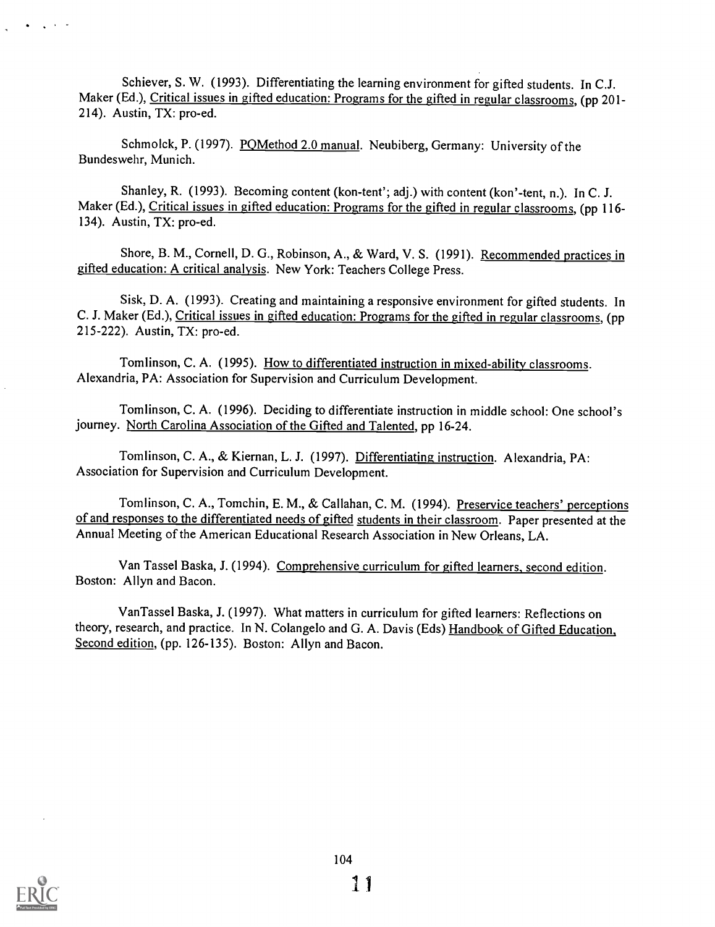Schiever, S. W. (1993). Differentiating the learning environment for gifted students. In C.J. Maker (Ed.), Critical issues in gifted education: Programs for the gifted in regular classrooms, (pp 201-214). Austin, TX: pro-ed.

Schmolck, P. (1997). POMethod 2.0 manual. Neubiberg, Germany: University of the Bundeswehr, Munich.

Shanley, R. (1993). Becoming content (kon-tent'; adj.) with content (kon'-tent, n.). In C. J. Maker (Ed.), Critical issues in gifted education: Programs for the gifted in regular classrooms, (pp 116-134). Austin, TX: pro-ed.

Shore, B. M., Cornell, D. G., Robinson, A., & Ward, V. S. (1991). Recommended practices in gifted education: A critical analysis. New York: Teachers College Press.

Sisk, D. A. (1993). Creating and maintaining a responsive environment for gifted students. In C. J. Maker (Ed.), Critical issues in gifted education: Programs for the gifted in regular classrooms, (pp 215-222). Austin, TX: pro-ed.

Tomlinson, C. A. (1995). How to differentiated instruction in mixed-ability classrooms. Alexandria, PA: Association for Supervision and Curriculum Development.

Tomlinson, C. A. (1996). Deciding to differentiate instruction in middle school: One school's journey. North Carolina Association of the Gifted and Talented, pp 16-24.

Tomlinson, C. A., & Kiernan, L. J. (1997). Differentiating instruction. Alexandria, PA: Association for Supervision and Curriculum Development.

Tomlinson, C. A., Tomchin, E. M., & Callahan, C. M. (1994). Preservice teachers' perceptions of and responses to the differentiated needs of gifted students in their classroom. Paper presented at the Annual Meeting of the American Educational Research Association in New Orleans, LA.

Van Tassel Baska, J. (1994). Comprehensive curriculum for gifted learners, second edition. Boston: Allyn and Bacon.

VanTassel Baska, J. (1997). What matters in curriculum for gifted learners: Reflections on theory, research, and practice. In N. Colangelo and G. A. Davis (Eds) Handbook of Gifted Education, Second edition, (pp. 126-135). Boston: Allyn and Bacon.

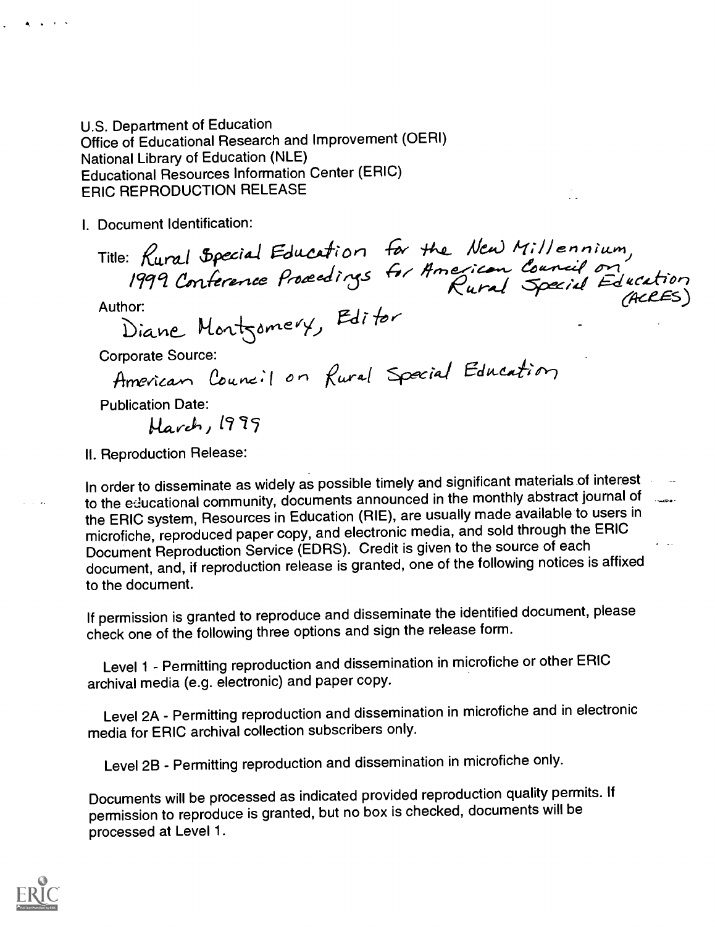U.S. Department of Education Office of Educational Research and Improvement (OERI) National Library of Education (NLE) **Educational Resources Information Center (ERIC) ERIC REPRODUCTION RELEASE** 

I. Document Identification:

Title: Rural Special Education for the New Millennium,<br>1999 Conference Procedings for American Council on<br>Authoric (ACCES)

Author:

Diane Montgomery, Editor

**Corporate Source:** 

American Council on Rural Special Education

**Publication Date:** 

Harch, 1999

II. Reproduction Release:

In order to disseminate as widely as possible timely and significant materials of interest to the educational community, documents announced in the monthly abstract journal of www. the ERIC system, Resources in Education (RIE), are usually made available to users in microfiche, reproduced paper copy, and electronic media, and sold through the ERIC Document Reproduction Service (EDRS). Credit is given to the source of each document, and, if reproduction release is granted, one of the following notices is affixed to the document.

If permission is granted to reproduce and disseminate the identified document, please check one of the following three options and sign the release form.

Level 1 - Permitting reproduction and dissemination in microfiche or other ERIC archival media (e.g. electronic) and paper copy.

Level 2A - Permitting reproduction and dissemination in microfiche and in electronic media for ERIC archival collection subscribers only.

Level 2B - Permitting reproduction and dissemination in microfiche only.

Documents will be processed as indicated provided reproduction quality permits. If permission to reproduce is granted, but no box is checked, documents will be processed at Level 1.